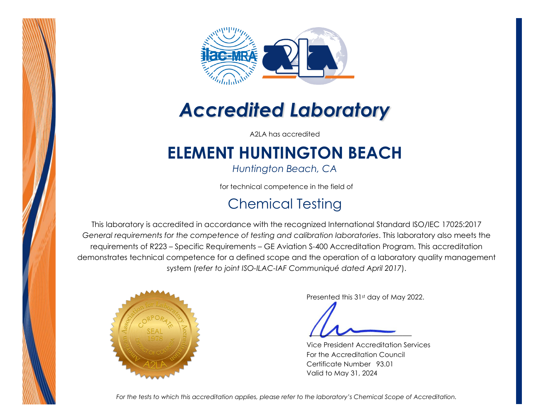



# *Accredited Laboratory*

A2LA has accredited

## **ELEMENT HUNTINGTON BEACH**

*Huntington Beach, CA* 

for technical competence in the field of

## Chemical Testing

This laboratory is accredited in accordance with the recognized International Standard ISO/IEC 17025:2017 *General requirements for the competence of testing and calibration laboratories*. This laboratory also meets the requirements of R223 – Specific Requirements – GE Aviation S-400 Accreditation Program. This accreditation demonstrates technical competence for a defined scope and the operation of a laboratory quality management system (*refer to joint ISO-ILAC-IAF Communiqué dated April 2017*).



Presented this 31st day of May 2022.

Vice President Accreditation Services For the Accreditation Council Certificate Number 93.01 Valid to May 31, 2024

*For the tests to which this accreditation applies, please refer to the laboratory's Chemical Scope of Accreditation.*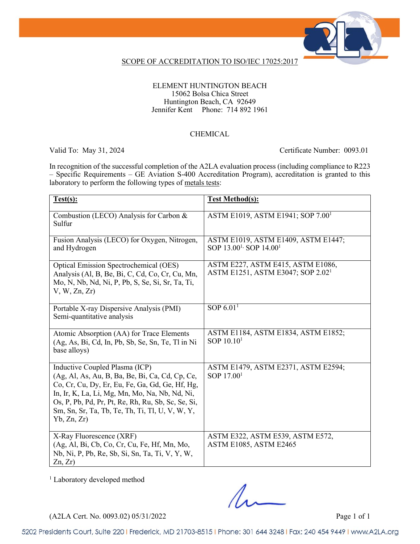

### SCOPE OF ACCREDITATION TO ISO/IEC 17025:2017

### ELEMENT HUNTINGTON BEACH 15062 Bolsa Chica Street Huntington Beach, CA 92649 Jennifer Kent Phone: 714 892 1961

### CHEMICAL

Valid To: May 31, 2024 Certificate Number: 0093.01

In recognition of the successful completion of the A2LA evaluation process (including compliance to R223 – Specific Requirements – GE Aviation S-400 Accreditation Program), accreditation is granted to this laboratory to perform the following types of metals tests:

| Test(s):                                                                                                                                                                                                                                                                                                       | <b>Test Method(s):</b>                                                                |
|----------------------------------------------------------------------------------------------------------------------------------------------------------------------------------------------------------------------------------------------------------------------------------------------------------------|---------------------------------------------------------------------------------------|
| Combustion (LECO) Analysis for Carbon &<br>Sulfur                                                                                                                                                                                                                                                              | ASTM E1019, ASTM E1941; SOP 7.00 <sup>1</sup>                                         |
| Fusion Analysis (LECO) for Oxygen, Nitrogen,<br>and Hydrogen                                                                                                                                                                                                                                                   | ASTM E1019, ASTM E1409, ASTM E1447;<br>SOP 13.00 <sup>1,</sup> SOP 14.00 <sup>1</sup> |
| <b>Optical Emission Spectrochemical (OES)</b><br>Analysis (Al, B, Be, Bi, C, Cd, Co, Cr, Cu, Mn,<br>Mo, N, Nb, Nd, Ni, P, Pb, S, Se, Si, Sr, Ta, Ti,<br>V, W, Zn, Zr                                                                                                                                           | ASTM E227, ASTM E415, ASTM E1086,<br>ASTM E1251, ASTM E3047; SOP 2.02 <sup>1</sup>    |
| Portable X-ray Dispersive Analysis (PMI)<br>Semi-quantitative analysis                                                                                                                                                                                                                                         | SOP $6.011$                                                                           |
| Atomic Absorption (AA) for Trace Elements<br>(Ag, As, Bi, Cd, In, Pb, Sb, Se, Sn, Te, Tl in Ni<br>base alloys)                                                                                                                                                                                                 | ASTM E1184, ASTM E1834, ASTM E1852;<br>SOP $10.101$                                   |
| Inductive Coupled Plasma (ICP)<br>(Ag, Al, As, Au, B, Ba, Be, Bi, Ca, Cd, Cp, Ce,<br>Co, Cr, Cu, Dy, Er, Eu, Fe, Ga, Gd, Ge, Hf, Hg,<br>In, Ir, K, La, Li, Mg, Mn, Mo, Na, Nb, Nd, Ni,<br>Os, P, Pb, Pd, Pr, Pt, Re, Rh, Ru, Sb, Sc, Se, Si,<br>Sm, Sn, Sr, Ta, Tb, Te, Th, Ti, Tl, U, V, W, Y,<br>Yb, Zn, Zr) | ASTM E1479, ASTM E2371, ASTM E2594;<br>SOP $17.001$                                   |
| X-Ray Fluorescence (XRF)<br>(Ag, Al, Bi, Cb, Co, Cr, Cu, Fe, Hf, Mn, Mo,<br>Nb, Ni, P, Pb, Re, Sb, Si, Sn, Ta, Ti, V, Y, W,<br>Zn, Zr                                                                                                                                                                          | ASTM E322, ASTM E539, ASTM E572,<br><b>ASTM E1085, ASTM E2465</b>                     |

<sup>1</sup> Laboratory developed method

(A2LA Cert. No. 0093.02) 05/31/2022 Page 1 of 1

5202 Presidents Court, Suite 220 | Frederick, MD 21703-8515 | Phone: 301 644 3248 | Fax: 240 454 9449 | www.A2LA.org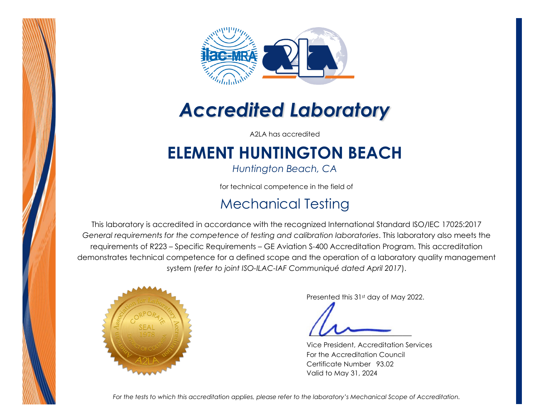



# *Accredited Laboratory*

A2LA has accredited

## **ELEMENT HUNTINGTON BEACH**

*Huntington Beach, CA* 

for technical competence in the field of

## Mechanical Testing

This laboratory is accredited in accordance with the recognized International Standard ISO/IEC 17025:2017 *General requirements for the competence of testing and calibration laboratories*. This laboratory also meets the requirements of R223 – Specific Requirements – GE Aviation S-400 Accreditation Program. This accreditation demonstrates technical competence for a defined scope and the operation of a laboratory quality management system (*refer to joint ISO-ILAC-IAF Communiqué dated April 2017*).



Presented this 31st day of May 2022.

Vice President, Accreditation Services For the Accreditation Council Certificate Number 93.02 Valid to May 31, 2024

*For the tests to which this accreditation applies, please refer to the laboratory's Mechanical Scope of Accreditation.*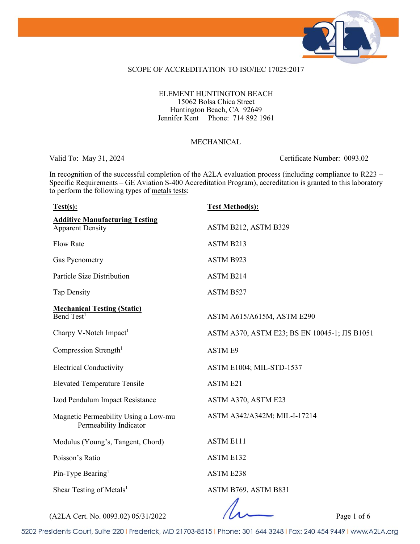

#### SCOPE OF ACCREDITATION TO ISO/IEC 17025:2017

### ELEMENT HUNTINGTON BEACH 15062 Bolsa Chica Street Huntington Beach, CA 92649 Jennifer Kent Phone: 714 892 1961

#### MECHANICAL

Valid To: May 31, 2024 Certificate Number: 0093.02

In recognition of the successful completion of the A2LA evaluation process (including compliance to R223 – Specific Requirements – GE Aviation S-400 Accreditation Program), accreditation is granted to this laboratory to perform the following types of metals tests:

| Test(s):                                                              | <b>Test Method(s):</b>                        |
|-----------------------------------------------------------------------|-----------------------------------------------|
| <b>Additive Manufacturing Testing</b><br><b>Apparent Density</b>      | ASTM B212, ASTM B329                          |
| <b>Flow Rate</b>                                                      | ASTM B213                                     |
| Gas Pycnometry                                                        | ASTM B923                                     |
| Particle Size Distribution                                            | ASTM B214                                     |
| <b>Tap Density</b>                                                    | ASTM B527                                     |
| <b>Mechanical Testing (Static)</b><br>$\overline{\text{Bend Test}^1}$ | ASTM A615/A615M, ASTM E290                    |
| Charpy V-Notch Impact <sup>1</sup>                                    | ASTM A370, ASTM E23; BS EN 10045-1; JIS B1051 |
| Compression Strength <sup>1</sup>                                     | <b>ASTM E9</b>                                |
| <b>Electrical Conductivity</b>                                        | ASTM E1004; MIL-STD-1537                      |
| <b>Elevated Temperature Tensile</b>                                   | ASTM E21                                      |
| Izod Pendulum Impact Resistance                                       | ASTM A370, ASTM E23                           |
| Magnetic Permeability Using a Low-mu<br>Permeability Indicator        | ASTM A342/A342M; MIL-I-17214                  |
| Modulus (Young's, Tangent, Chord)                                     | <b>ASTM E111</b>                              |
| Poisson's Ratio                                                       | ASTM E132                                     |
| Pin-Type Bearing <sup>1</sup>                                         | <b>ASTM E238</b>                              |
| Shear Testing of Metals <sup>1</sup>                                  | ASTM B769, ASTM B831<br>$\overline{ }$        |

(A2LA Cert. No. 0093.02) 05/31/2022 Page 1 of 6

5202 Presidents Court, Suite 220 | Frederick, MD 21703-8515 | Phone: 301 644 3248 | Fax: 240 454 9449 | www.A2LA.org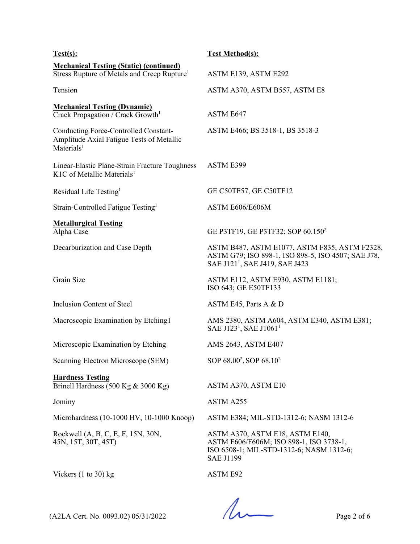| Test(s):                                                                                                            | <b>Test Method(s):</b>                                                                                                                            |
|---------------------------------------------------------------------------------------------------------------------|---------------------------------------------------------------------------------------------------------------------------------------------------|
| <b>Mechanical Testing (Static) (continued)</b><br>Stress Rupture of Metals and Creep Rupture <sup>1</sup>           | ASTM E139, ASTM E292                                                                                                                              |
| Tension                                                                                                             | ASTM A370, ASTM B557, ASTM E8                                                                                                                     |
| <b>Mechanical Testing (Dynamic)</b><br>Crack Propagation / Crack Growth <sup>1</sup>                                | ASTM E647                                                                                                                                         |
| <b>Conducting Force-Controlled Constant-</b><br>Amplitude Axial Fatigue Tests of Metallic<br>Materials <sup>1</sup> | ASTM E466; BS 3518-1, BS 3518-3                                                                                                                   |
| Linear-Elastic Plane-Strain Fracture Toughness<br>K1C of Metallic Materials <sup>1</sup>                            | ASTM E399                                                                                                                                         |
| Residual Life Testing <sup>1</sup>                                                                                  | GE C50TF57, GE C50TF12                                                                                                                            |
| Strain-Controlled Fatigue Testing <sup>1</sup>                                                                      | ASTM E606/E606M                                                                                                                                   |
| <b>Metallurgical Testing</b><br>Alpha Case                                                                          | GE P3TF19, GE P3TF32; SOP 60.150 <sup>2</sup>                                                                                                     |
| Decarburization and Case Depth                                                                                      | ASTM B487, ASTM E1077, ASTM F835, ASTM F2328,<br>ASTM G79; ISO 898-1, ISO 898-5, ISO 4507; SAE J78,<br>SAE J121 <sup>1</sup> , SAE J419, SAE J423 |
| Grain Size                                                                                                          | ASTM E112, ASTM E930, ASTM E1181;<br>ISO 643; GE E50TF133                                                                                         |
| Inclusion Content of Steel                                                                                          | ASTM E45, Parts A & D                                                                                                                             |
| Macroscopic Examination by Etching1                                                                                 | AMS 2380, ASTM A604, ASTM E340, ASTM E381;<br>SAE J123 <sup>1</sup> , SAE J1061 <sup>1</sup>                                                      |
| Microscopic Examination by Etching                                                                                  | AMS 2643, ASTM E407                                                                                                                               |
| Scanning Electron Microscope (SEM)                                                                                  | SOP 68.00 <sup>2</sup> , SOP 68.10 <sup>2</sup>                                                                                                   |
| <b>Hardness Testing</b><br>Brinell Hardness $(500 \text{ Kg} \& 3000 \text{ Kg})$                                   | ASTM A370, ASTM E10                                                                                                                               |
| Jominy                                                                                                              | ASTM A255                                                                                                                                         |
| Microhardness (10-1000 HV, 10-1000 Knoop)                                                                           | ASTM E384; MIL-STD-1312-6; NASM 1312-6                                                                                                            |
| Rockwell (A, B, C, E, F, 15N, 30N,<br>45N, 15T, 30T, 45T)                                                           | ASTM A370, ASTM E18, ASTM E140,<br>ASTM F606/F606M; ISO 898-1, ISO 3738-1,<br>ISO 6508-1; MIL-STD-1312-6; NASM 1312-6;<br><b>SAE J1199</b>        |
| Vickers $(1 to 30)$ kg                                                                                              | ASTM E92                                                                                                                                          |

 $(A2LA$  Cert. No. 0093.02) 05/31/2022 Page 2 of 6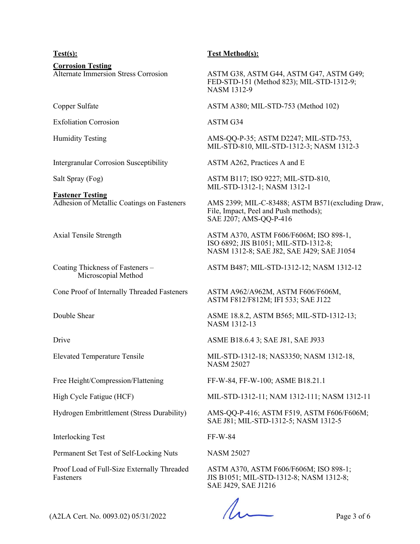**Corrosion Testing**<br>Alternate Immersion Stress Corrosion

Exfoliation Corrosion ASTM G34

Intergranular Corrosion Susceptibility ASTM A262, Practices A and E

**Fastener Testing**

Coating Thickness of Fasteners – Microscopial Method

Cone Proof of Internally Threaded Fasteners ASTM A962/A962M, ASTM F606/F606M,

Interlocking Test FF-W-84

Permanent Set Test of Self-Locking Nuts NASM 25027

Proof Load of Full-Size Externally Threaded Fasteners

### **Test(s): Test Method(s):**

ASTM G38, ASTM G44, ASTM G47, ASTM G49; FED-STD-151 (Method 823); MIL-STD-1312-9; NASM 1312-9

Copper Sulfate ASTM A380; MIL-STD-753 (Method 102)

Humidity Testing **AMS-QQ-P-35; ASTM D2247**; MIL-STD-753, MIL-STD-810, MIL-STD-1312-3; NASM 1312-3

Salt Spray (Fog) ASTM B117; ISO 9227; MIL-STD-810, MIL-STD-1312-1; NASM 1312-1

Adhesion of Metallic Coatings on Fasteners AMS 2399; MIL-C-83488; ASTM B571(excluding Draw, File, Impact, Peel and Push methods); SAE J207; AMS-QQ-P-416

Axial Tensile Strength ASTM A370, ASTM F606/F606M; ISO 898-1, ISO 6892; JIS B1051; MIL-STD-1312-8; NASM 1312-8; SAE J82, SAE J429; SAE J1054

ASTM B487; MIL-STD-1312-12; NASM 1312-12

ASTM F812/F812M; IFI 533; SAE J122

Double Shear ASME 18.8.2, ASTM B565; MIL-STD-1312-13; NASM 1312-13

Drive ASME B18.6.4 3; SAE J81, SAE J933

Elevated Temperature Tensile MIL-STD-1312-18; NAS3350; NASM 1312-18, NASM 25027

Free Height/Compression/Flattening FF-W-84, FF-W-100; ASME B18.21.1

High Cycle Fatigue (HCF) MIL-STD-1312-11; NAM 1312-111; NASM 1312-11

Hydrogen Embrittlement (Stress Durability) AMS-QQ-P-416; ASTM F519, ASTM F606/F606M; SAE J81; MIL-STD-1312-5; NASM 1312-5

ASTM A370, ASTM F606/F606M; ISO 898-1; JIS B1051; MIL-STD-1312-8; NASM 1312-8; SAE J429, SAE J1216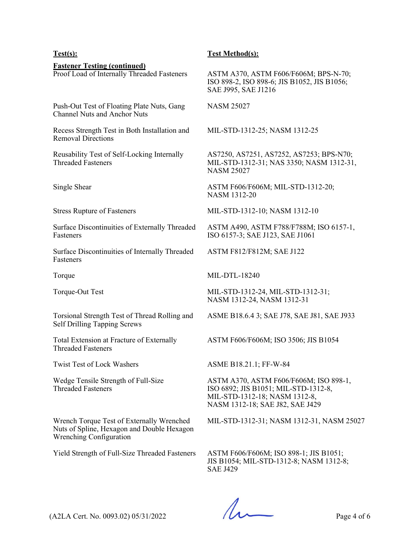**Fastener Testing (continued)**<br>Proof Load of Internally Threaded Fasteners

Push-Out Test of Floating Plate Nuts, Gang Channel Nuts and Anchor Nuts

Recess Strength Test in Both Installation and Removal Directions

Reusability Test of Self-Locking Internally Threaded Fasteners

Surface Discontinuities of Externally Threaded Fasteners

Surface Discontinuities of Internally Threaded **Fasteners** 

Torsional Strength Test of Thread Rolling and Self Drilling Tapping Screws

Total Extension at Fracture of Externally Threaded Fasteners

Wedge Tensile Strength of Full-Size Threaded Fasteners

Wrench Torque Test of Externally Wrenched Nuts of Spline, Hexagon and Double Hexagon Wrenching Configuration

#### **Test(s): Test Method(s):**

ASTM A370, ASTM F606/F606M; BPS-N-70; ISO 898-2, ISO 898-6; JIS B1052, JIS B1056; SAE J995, SAE J1216

NASM 25027

MIL-STD-1312-25; NASM 1312-25

AS7250, AS7251, AS7252, AS7253; BPS-N70; MIL-STD-1312-31; NAS 3350; NASM 1312-31, NASM 25027

Single Shear ASTM F606/F606M; MIL-STD-1312-20; NASM 1312-20

Stress Rupture of Fasteners MIL-STD-1312-10; NASM 1312-10

ASTM A490, ASTM F788/F788M; ISO 6157-1, ISO 6157-3; SAE J123, SAE J1061

ASTM F812/F812M; SAE J122

Torque MIL-DTL-18240

Torque-Out Test MIL-STD-1312-24, MIL-STD-1312-31; NASM 1312-24, NASM 1312-31

ASME B18.6.4 3; SAE J78, SAE J81, SAE J933

ASTM F606/F606M; ISO 3506; JIS B1054

Twist Test of Lock Washers ASME B18.21.1; FF-W-84

ASTM A370, ASTM F606/F606M; ISO 898-1, ISO 6892; JIS B1051; MIL-STD-1312-8, MIL-STD-1312-18; NASM 1312-8, NASM 1312-18; SAE J82, SAE J429

MIL-STD-1312-31; NASM 1312-31, NASM 25027

Yield Strength of Full-Size Threaded Fasteners ASTM F606/F606M; ISO 898-1; JIS B1051; JIS B1054; MIL-STD-1312-8; NASM 1312-8; SAE J429

 $(A2LA$  Cert. No. 0093.02) 05/31/2022 Page 4 of 6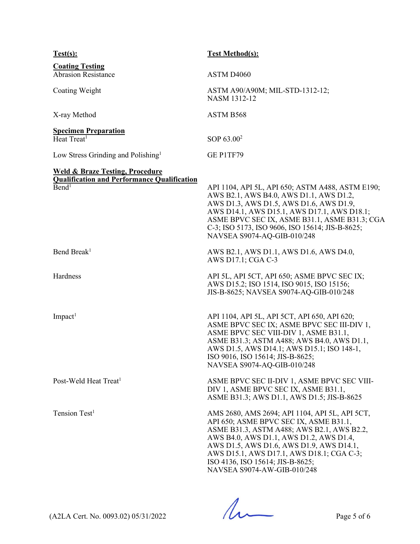| Test(s):                                                                                                              | <b>Test Method(s):</b>                                                                                                                                                                                                                                                                                                                        |
|-----------------------------------------------------------------------------------------------------------------------|-----------------------------------------------------------------------------------------------------------------------------------------------------------------------------------------------------------------------------------------------------------------------------------------------------------------------------------------------|
| <b>Coating Testing</b><br><b>Abrasion Resistance</b>                                                                  | ASTM D4060                                                                                                                                                                                                                                                                                                                                    |
| Coating Weight                                                                                                        | ASTM A90/A90M; MIL-STD-1312-12;<br>NASM 1312-12                                                                                                                                                                                                                                                                                               |
| X-ray Method                                                                                                          | ASTM B568                                                                                                                                                                                                                                                                                                                                     |
| <b>Specimen Preparation</b><br>Heat Treat <sup>1</sup>                                                                | SOP 63.00 <sup>2</sup>                                                                                                                                                                                                                                                                                                                        |
| Low Stress Grinding and Polishing <sup>1</sup>                                                                        | GE P1TF79                                                                                                                                                                                                                                                                                                                                     |
| <b>Weld &amp; Braze Testing, Procedure</b><br><b>Qualification and Performance Qualification</b><br>Bend <sup>1</sup> | API 1104, API 5L, API 650; ASTM A488, ASTM E190;<br>AWS B2.1, AWS B4.0, AWS D1.1, AWS D1.2,<br>AWS D1.3, AWS D1.5, AWS D1.6, AWS D1.9,<br>AWS D14.1, AWS D15.1, AWS D17.1, AWS D18.1;<br>ASME BPVC SEC IX, ASME B31.1, ASME B31.3; CGA<br>C-3; ISO 5173, ISO 9606, ISO 15614; JIS-B-8625;<br>NAVSEA S9074-AQ-GIB-010/248                      |
| Bend Break <sup>1</sup>                                                                                               | AWS B2.1, AWS D1.1, AWS D1.6, AWS D4.0,<br>AWS D17.1; CGA C-3                                                                                                                                                                                                                                                                                 |
| Hardness                                                                                                              | API 5L, API 5CT, API 650; ASME BPVC SEC IX;<br>AWS D15.2; ISO 1514, ISO 9015, ISO 15156;<br>JIS-B-8625; NAVSEA S9074-AQ-GIB-010/248                                                                                                                                                                                                           |
| $Im$ pact <sup>1</sup>                                                                                                | API 1104, API 5L, API 5CT, API 650, API 620;<br>ASME BPVC SEC IX; ASME BPVC SEC III-DIV 1,<br>ASME BPVC SEC VIII-DIV 1, ASME B31.1,<br>ASME B31.3; ASTM A488; AWS B4.0, AWS D1.1,<br>AWS D1.5, AWS D14.1; AWS D15.1; ISO 148-1,<br>ISO 9016, ISO 15614; JIS-B-8625;<br>NAVSEA S9074-AQ-GIB-010/248                                            |
| Post-Weld Heat Treat <sup>1</sup>                                                                                     | ASME BPVC SEC II-DIV 1, ASME BPVC SEC VIII-<br>DIV 1, ASME BPVC SEC IX, ASME B31.1,<br>ASME B31.3; AWS D1.1, AWS D1.5; JIS-B-8625                                                                                                                                                                                                             |
| Tension Test <sup>1</sup>                                                                                             | AMS 2680, AMS 2694; API 1104, API 5L, API 5CT,<br>API 650; ASME BPVC SEC IX, ASME B31.1,<br>ASME B31.3, ASTM A488; AWS B2.1, AWS B2.2,<br>AWS B4.0, AWS D1.1, AWS D1.2, AWS D1.4,<br>AWS D1.5, AWS D1.6, AWS D1.9, AWS D14.1,<br>AWS D15.1, AWS D17.1, AWS D18.1; CGA C-3;<br>ISO 4136, ISO 15614; JIS-B-8625;<br>NAVSEA S9074-AW-GIB-010/248 |

 $(42LA$  Cert. No. 0093.02) 05/31/2022 Page 5 of 6